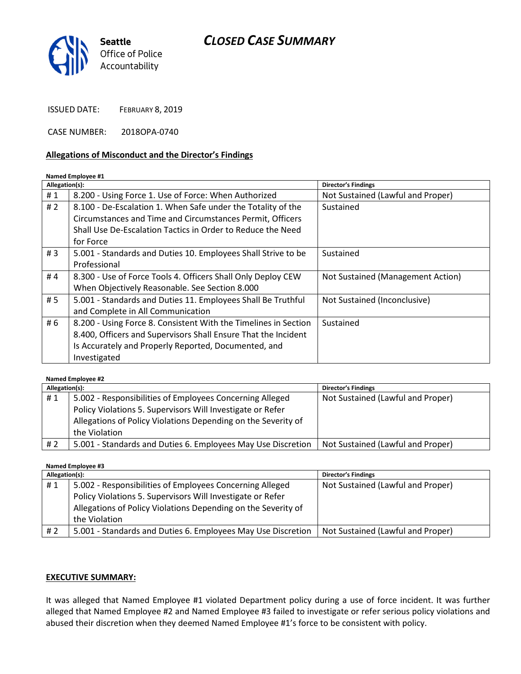

ISSUED DATE: FEBRUARY 8, 2019

CASE NUMBER: 2018OPA-0740

## Allegations of Misconduct and the Director's Findings

#### Named Employee #1

| Allegation(s): |                                                                 | <b>Director's Findings</b>        |
|----------------|-----------------------------------------------------------------|-----------------------------------|
| #1             | 8.200 - Using Force 1. Use of Force: When Authorized            | Not Sustained (Lawful and Proper) |
| #2             | 8.100 - De-Escalation 1. When Safe under the Totality of the    | Sustained                         |
|                | Circumstances and Time and Circumstances Permit, Officers       |                                   |
|                | Shall Use De-Escalation Tactics in Order to Reduce the Need     |                                   |
|                | for Force                                                       |                                   |
| #3             | 5.001 - Standards and Duties 10. Employees Shall Strive to be   | Sustained                         |
|                | Professional                                                    |                                   |
| #4             | 8.300 - Use of Force Tools 4. Officers Shall Only Deploy CEW    | Not Sustained (Management Action) |
|                | When Objectively Reasonable. See Section 8.000                  |                                   |
| # 5            | 5.001 - Standards and Duties 11. Employees Shall Be Truthful    | Not Sustained (Inconclusive)      |
|                | and Complete in All Communication                               |                                   |
| # 6            | 8.200 - Using Force 8. Consistent With the Timelines in Section | Sustained                         |
|                | 8.400, Officers and Supervisors Shall Ensure That the Incident  |                                   |
|                | Is Accurately and Properly Reported, Documented, and            |                                   |
|                | Investigated                                                    |                                   |

#### Named Employee #2

| Allegation(s): |                                                               | <b>Director's Findings</b>        |
|----------------|---------------------------------------------------------------|-----------------------------------|
| #1             | 5.002 - Responsibilities of Employees Concerning Alleged      | Not Sustained (Lawful and Proper) |
|                | Policy Violations 5. Supervisors Will Investigate or Refer    |                                   |
|                | Allegations of Policy Violations Depending on the Severity of |                                   |
|                | the Violation                                                 |                                   |
| #2             | 5.001 - Standards and Duties 6. Employees May Use Discretion  | Not Sustained (Lawful and Proper) |

#### Named Employee #3

| Allegation(s): |                                                               | <b>Director's Findings</b>        |
|----------------|---------------------------------------------------------------|-----------------------------------|
| #1             | 5.002 - Responsibilities of Employees Concerning Alleged      | Not Sustained (Lawful and Proper) |
|                | Policy Violations 5. Supervisors Will Investigate or Refer    |                                   |
|                | Allegations of Policy Violations Depending on the Severity of |                                   |
|                | the Violation                                                 |                                   |
| #2             | 5.001 - Standards and Duties 6. Employees May Use Discretion  | Not Sustained (Lawful and Proper) |

#### EXECUTIVE SUMMARY:

It was alleged that Named Employee #1 violated Department policy during a use of force incident. It was further alleged that Named Employee #2 and Named Employee #3 failed to investigate or refer serious policy violations and abused their discretion when they deemed Named Employee #1's force to be consistent with policy.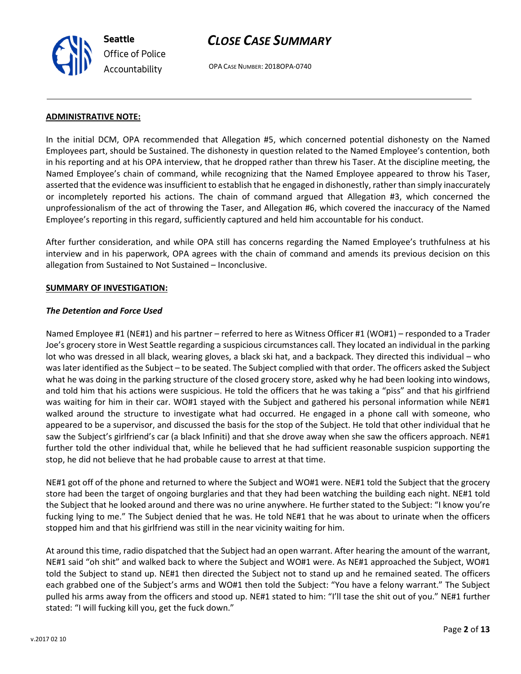

OPA CASE NUMBER: 2018OPA-0740

### ADMINISTRATIVE NOTE:

In the initial DCM, OPA recommended that Allegation #5, which concerned potential dishonesty on the Named Employees part, should be Sustained. The dishonesty in question related to the Named Employee's contention, both in his reporting and at his OPA interview, that he dropped rather than threw his Taser. At the discipline meeting, the Named Employee's chain of command, while recognizing that the Named Employee appeared to throw his Taser, asserted that the evidence was insufficient to establish that he engaged in dishonestly, rather than simply inaccurately or incompletely reported his actions. The chain of command argued that Allegation #3, which concerned the unprofessionalism of the act of throwing the Taser, and Allegation #6, which covered the inaccuracy of the Named Employee's reporting in this regard, sufficiently captured and held him accountable for his conduct.

After further consideration, and while OPA still has concerns regarding the Named Employee's truthfulness at his interview and in his paperwork, OPA agrees with the chain of command and amends its previous decision on this allegation from Sustained to Not Sustained – Inconclusive.

### SUMMARY OF INVESTIGATION:

### The Detention and Force Used

Named Employee #1 (NE#1) and his partner – referred to here as Witness Officer #1 (WO#1) – responded to a Trader Joe's grocery store in West Seattle regarding a suspicious circumstances call. They located an individual in the parking lot who was dressed in all black, wearing gloves, a black ski hat, and a backpack. They directed this individual – who was later identified as the Subject – to be seated. The Subject complied with that order. The officers asked the Subject what he was doing in the parking structure of the closed grocery store, asked why he had been looking into windows, and told him that his actions were suspicious. He told the officers that he was taking a "piss" and that his girlfriend was waiting for him in their car. WO#1 stayed with the Subject and gathered his personal information while NE#1 walked around the structure to investigate what had occurred. He engaged in a phone call with someone, who appeared to be a supervisor, and discussed the basis for the stop of the Subject. He told that other individual that he saw the Subject's girlfriend's car (a black Infiniti) and that she drove away when she saw the officers approach. NE#1 further told the other individual that, while he believed that he had sufficient reasonable suspicion supporting the stop, he did not believe that he had probable cause to arrest at that time.

NE#1 got off of the phone and returned to where the Subject and WO#1 were. NE#1 told the Subject that the grocery store had been the target of ongoing burglaries and that they had been watching the building each night. NE#1 told the Subject that he looked around and there was no urine anywhere. He further stated to the Subject: "I know you're fucking lying to me." The Subject denied that he was. He told NE#1 that he was about to urinate when the officers stopped him and that his girlfriend was still in the near vicinity waiting for him.

At around this time, radio dispatched that the Subject had an open warrant. After hearing the amount of the warrant, NE#1 said "oh shit" and walked back to where the Subject and WO#1 were. As NE#1 approached the Subject, WO#1 told the Subject to stand up. NE#1 then directed the Subject not to stand up and he remained seated. The officers each grabbed one of the Subject's arms and WO#1 then told the Subject: "You have a felony warrant." The Subject pulled his arms away from the officers and stood up. NE#1 stated to him: "I'll tase the shit out of you." NE#1 further stated: "I will fucking kill you, get the fuck down."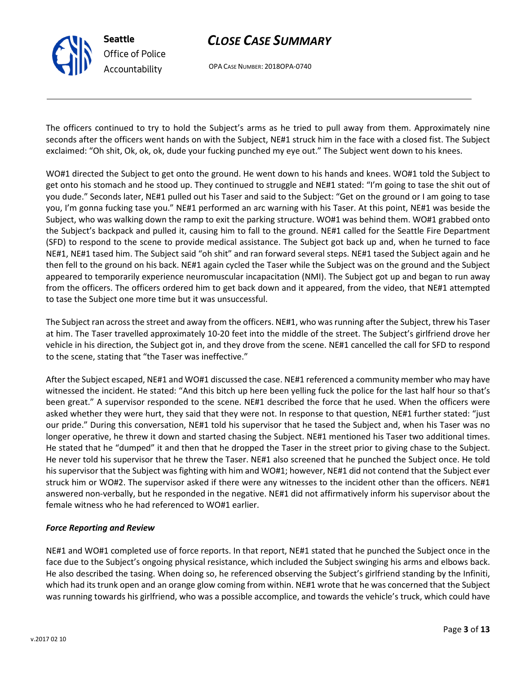OPA CASE NUMBER: 2018OPA-0740

The officers continued to try to hold the Subject's arms as he tried to pull away from them. Approximately nine seconds after the officers went hands on with the Subject, NE#1 struck him in the face with a closed fist. The Subject exclaimed: "Oh shit, Ok, ok, ok, dude your fucking punched my eye out." The Subject went down to his knees.

WO#1 directed the Subject to get onto the ground. He went down to his hands and knees. WO#1 told the Subject to get onto his stomach and he stood up. They continued to struggle and NE#1 stated: "I'm going to tase the shit out of you dude." Seconds later, NE#1 pulled out his Taser and said to the Subject: "Get on the ground or I am going to tase you, I'm gonna fucking tase you." NE#1 performed an arc warning with his Taser. At this point, NE#1 was beside the Subject, who was walking down the ramp to exit the parking structure. WO#1 was behind them. WO#1 grabbed onto the Subject's backpack and pulled it, causing him to fall to the ground. NE#1 called for the Seattle Fire Department (SFD) to respond to the scene to provide medical assistance. The Subject got back up and, when he turned to face NE#1, NE#1 tased him. The Subject said "oh shit" and ran forward several steps. NE#1 tased the Subject again and he then fell to the ground on his back. NE#1 again cycled the Taser while the Subject was on the ground and the Subject appeared to temporarily experience neuromuscular incapacitation (NMI). The Subject got up and began to run away from the officers. The officers ordered him to get back down and it appeared, from the video, that NE#1 attempted to tase the Subject one more time but it was unsuccessful.

The Subject ran across the street and away from the officers. NE#1, who was running after the Subject, threw his Taser at him. The Taser travelled approximately 10-20 feet into the middle of the street. The Subject's girlfriend drove her vehicle in his direction, the Subject got in, and they drove from the scene. NE#1 cancelled the call for SFD to respond to the scene, stating that "the Taser was ineffective."

After the Subject escaped, NE#1 and WO#1 discussed the case. NE#1 referenced a community member who may have witnessed the incident. He stated: "And this bitch up here been yelling fuck the police for the last half hour so that's been great." A supervisor responded to the scene. NE#1 described the force that he used. When the officers were asked whether they were hurt, they said that they were not. In response to that question, NE#1 further stated: "just our pride." During this conversation, NE#1 told his supervisor that he tased the Subject and, when his Taser was no longer operative, he threw it down and started chasing the Subject. NE#1 mentioned his Taser two additional times. He stated that he "dumped" it and then that he dropped the Taser in the street prior to giving chase to the Subject. He never told his supervisor that he threw the Taser. NE#1 also screened that he punched the Subject once. He told his supervisor that the Subject was fighting with him and WO#1; however, NE#1 did not contend that the Subject ever struck him or WO#2. The supervisor asked if there were any witnesses to the incident other than the officers. NE#1 answered non-verbally, but he responded in the negative. NE#1 did not affirmatively inform his supervisor about the female witness who he had referenced to WO#1 earlier.

## Force Reporting and Review

NE#1 and WO#1 completed use of force reports. In that report, NE#1 stated that he punched the Subject once in the face due to the Subject's ongoing physical resistance, which included the Subject swinging his arms and elbows back. He also described the tasing. When doing so, he referenced observing the Subject's girlfriend standing by the Infiniti, which had its trunk open and an orange glow coming from within. NE#1 wrote that he was concerned that the Subject was running towards his girlfriend, who was a possible accomplice, and towards the vehicle's truck, which could have



Seattle

Office of Police Accountability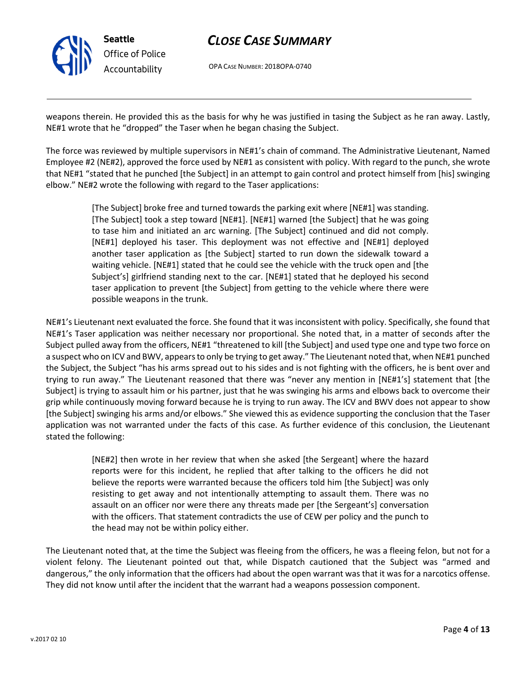

OPA CASE NUMBER: 2018OPA-0740

weapons therein. He provided this as the basis for why he was justified in tasing the Subject as he ran away. Lastly, NE#1 wrote that he "dropped" the Taser when he began chasing the Subject.

The force was reviewed by multiple supervisors in NE#1's chain of command. The Administrative Lieutenant, Named Employee #2 (NE#2), approved the force used by NE#1 as consistent with policy. With regard to the punch, she wrote that NE#1 "stated that he punched [the Subject] in an attempt to gain control and protect himself from [his] swinging elbow." NE#2 wrote the following with regard to the Taser applications:

> [The Subject] broke free and turned towards the parking exit where [NE#1] was standing. [The Subject] took a step toward [NE#1]. [NE#1] warned [the Subject] that he was going to tase him and initiated an arc warning. [The Subject] continued and did not comply. [NE#1] deployed his taser. This deployment was not effective and [NE#1] deployed another taser application as [the Subject] started to run down the sidewalk toward a waiting vehicle. [NE#1] stated that he could see the vehicle with the truck open and [the Subject's] girlfriend standing next to the car. [NE#1] stated that he deployed his second taser application to prevent [the Subject] from getting to the vehicle where there were possible weapons in the trunk.

NE#1's Lieutenant next evaluated the force. She found that it was inconsistent with policy. Specifically, she found that NE#1's Taser application was neither necessary nor proportional. She noted that, in a matter of seconds after the Subject pulled away from the officers, NE#1 "threatened to kill [the Subject] and used type one and type two force on a suspect who on ICV and BWV, appears to only be trying to get away." The Lieutenant noted that, when NE#1 punched the Subject, the Subject "has his arms spread out to his sides and is not fighting with the officers, he is bent over and trying to run away." The Lieutenant reasoned that there was "never any mention in [NE#1's] statement that [the Subject] is trying to assault him or his partner, just that he was swinging his arms and elbows back to overcome their grip while continuously moving forward because he is trying to run away. The ICV and BWV does not appear to show [the Subject] swinging his arms and/or elbows." She viewed this as evidence supporting the conclusion that the Taser application was not warranted under the facts of this case. As further evidence of this conclusion, the Lieutenant stated the following:

> [NE#2] then wrote in her review that when she asked [the Sergeant] where the hazard reports were for this incident, he replied that after talking to the officers he did not believe the reports were warranted because the officers told him [the Subject] was only resisting to get away and not intentionally attempting to assault them. There was no assault on an officer nor were there any threats made per [the Sergeant's] conversation with the officers. That statement contradicts the use of CEW per policy and the punch to the head may not be within policy either.

The Lieutenant noted that, at the time the Subject was fleeing from the officers, he was a fleeing felon, but not for a violent felony. The Lieutenant pointed out that, while Dispatch cautioned that the Subject was "armed and dangerous," the only information that the officers had about the open warrant was that it was for a narcotics offense. They did not know until after the incident that the warrant had a weapons possession component.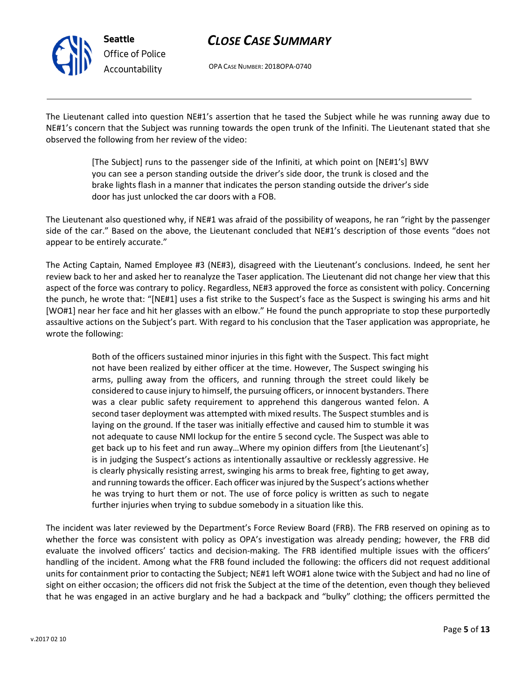

OPA CASE NUMBER: 2018OPA-0740

The Lieutenant called into question NE#1's assertion that he tased the Subject while he was running away due to NE#1's concern that the Subject was running towards the open trunk of the Infiniti. The Lieutenant stated that she observed the following from her review of the video:

> [The Subject] runs to the passenger side of the Infiniti, at which point on [NE#1's] BWV you can see a person standing outside the driver's side door, the trunk is closed and the brake lights flash in a manner that indicates the person standing outside the driver's side door has just unlocked the car doors with a FOB.

The Lieutenant also questioned why, if NE#1 was afraid of the possibility of weapons, he ran "right by the passenger side of the car." Based on the above, the Lieutenant concluded that NE#1's description of those events "does not appear to be entirely accurate."

The Acting Captain, Named Employee #3 (NE#3), disagreed with the Lieutenant's conclusions. Indeed, he sent her review back to her and asked her to reanalyze the Taser application. The Lieutenant did not change her view that this aspect of the force was contrary to policy. Regardless, NE#3 approved the force as consistent with policy. Concerning the punch, he wrote that: "[NE#1] uses a fist strike to the Suspect's face as the Suspect is swinging his arms and hit [WO#1] near her face and hit her glasses with an elbow." He found the punch appropriate to stop these purportedly assaultive actions on the Subject's part. With regard to his conclusion that the Taser application was appropriate, he wrote the following:

> Both of the officers sustained minor injuries in this fight with the Suspect. This fact might not have been realized by either officer at the time. However, The Suspect swinging his arms, pulling away from the officers, and running through the street could likely be considered to cause injury to himself, the pursuing officers, or innocent bystanders. There was a clear public safety requirement to apprehend this dangerous wanted felon. A second taser deployment was attempted with mixed results. The Suspect stumbles and is laying on the ground. If the taser was initially effective and caused him to stumble it was not adequate to cause NMI lockup for the entire 5 second cycle. The Suspect was able to get back up to his feet and run away…Where my opinion differs from [the Lieutenant's] is in judging the Suspect's actions as intentionally assaultive or recklessly aggressive. He is clearly physically resisting arrest, swinging his arms to break free, fighting to get away, and running towards the officer. Each officer was injured by the Suspect's actions whether he was trying to hurt them or not. The use of force policy is written as such to negate further injuries when trying to subdue somebody in a situation like this.

The incident was later reviewed by the Department's Force Review Board (FRB). The FRB reserved on opining as to whether the force was consistent with policy as OPA's investigation was already pending; however, the FRB did evaluate the involved officers' tactics and decision-making. The FRB identified multiple issues with the officers' handling of the incident. Among what the FRB found included the following: the officers did not request additional units for containment prior to contacting the Subject; NE#1 left WO#1 alone twice with the Subject and had no line of sight on either occasion; the officers did not frisk the Subject at the time of the detention, even though they believed that he was engaged in an active burglary and he had a backpack and "bulky" clothing; the officers permitted the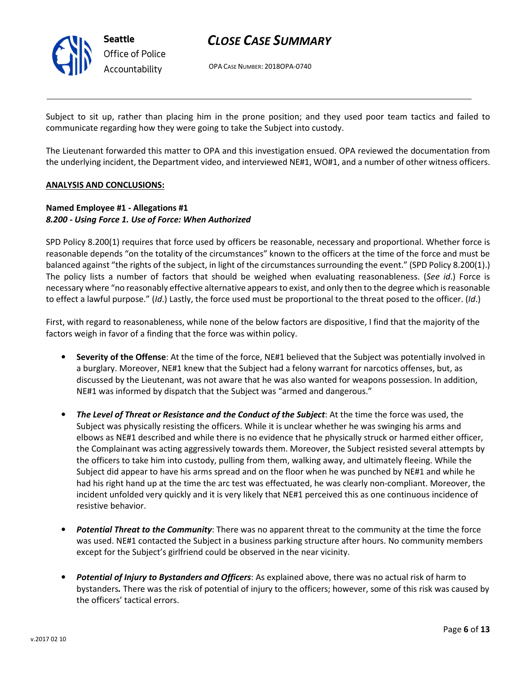

# CLOSE CASE SUMMARY

OPA CASE NUMBER: 2018OPA-0740

Subject to sit up, rather than placing him in the prone position; and they used poor team tactics and failed to communicate regarding how they were going to take the Subject into custody.

The Lieutenant forwarded this matter to OPA and this investigation ensued. OPA reviewed the documentation from the underlying incident, the Department video, and interviewed NE#1, WO#1, and a number of other witness officers.

### ANALYSIS AND CONCLUSIONS:

### Named Employee #1 - Allegations #1 8.200 - Using Force 1. Use of Force: When Authorized

SPD Policy 8.200(1) requires that force used by officers be reasonable, necessary and proportional. Whether force is reasonable depends "on the totality of the circumstances" known to the officers at the time of the force and must be balanced against "the rights of the subject, in light of the circumstances surrounding the event." (SPD Policy 8.200(1).) The policy lists a number of factors that should be weighed when evaluating reasonableness. (See id.) Force is necessary where "no reasonably effective alternative appears to exist, and only then to the degree which is reasonable to effect a lawful purpose." (Id.) Lastly, the force used must be proportional to the threat posed to the officer. (Id.)

First, with regard to reasonableness, while none of the below factors are dispositive, I find that the majority of the factors weigh in favor of a finding that the force was within policy.

- Severity of the Offense: At the time of the force, NE#1 believed that the Subject was potentially involved in a burglary. Moreover, NE#1 knew that the Subject had a felony warrant for narcotics offenses, but, as discussed by the Lieutenant, was not aware that he was also wanted for weapons possession. In addition, NE#1 was informed by dispatch that the Subject was "armed and dangerous."
- The Level of Threat or Resistance and the Conduct of the Subject: At the time the force was used, the Subject was physically resisting the officers. While it is unclear whether he was swinging his arms and elbows as NE#1 described and while there is no evidence that he physically struck or harmed either officer, the Complainant was acting aggressively towards them. Moreover, the Subject resisted several attempts by the officers to take him into custody, pulling from them, walking away, and ultimately fleeing. While the Subject did appear to have his arms spread and on the floor when he was punched by NE#1 and while he had his right hand up at the time the arc test was effectuated, he was clearly non-compliant. Moreover, the incident unfolded very quickly and it is very likely that NE#1 perceived this as one continuous incidence of resistive behavior.
- **Potential Threat to the Community**: There was no apparent threat to the community at the time the force was used. NE#1 contacted the Subject in a business parking structure after hours. No community members except for the Subject's girlfriend could be observed in the near vicinity.
- Potential of Injury to Bystanders and Officers: As explained above, there was no actual risk of harm to bystanders. There was the risk of potential of injury to the officers; however, some of this risk was caused by the officers' tactical errors.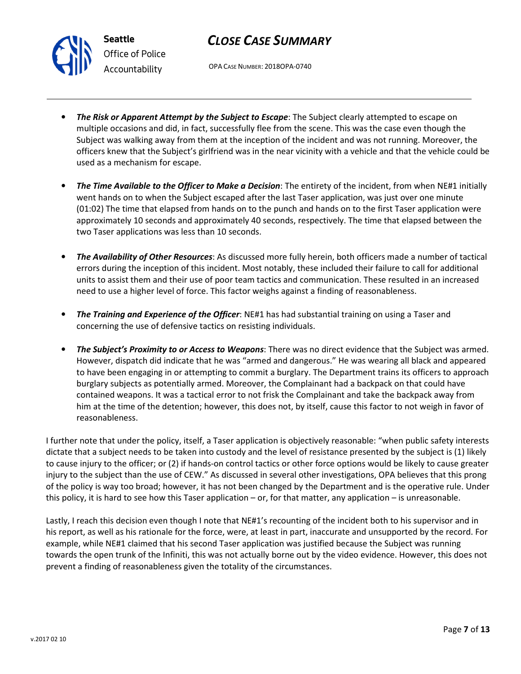OPA CASE NUMBER: 2018OPA-0740

- The Risk or Apparent Attempt by the Subject to Escape: The Subject clearly attempted to escape on multiple occasions and did, in fact, successfully flee from the scene. This was the case even though the Subject was walking away from them at the inception of the incident and was not running. Moreover, the officers knew that the Subject's girlfriend was in the near vicinity with a vehicle and that the vehicle could be used as a mechanism for escape.
- The Time Available to the Officer to Make a Decision: The entirety of the incident, from when NE#1 initially went hands on to when the Subject escaped after the last Taser application, was just over one minute (01:02) The time that elapsed from hands on to the punch and hands on to the first Taser application were approximately 10 seconds and approximately 40 seconds, respectively. The time that elapsed between the two Taser applications was less than 10 seconds.
- The Availability of Other Resources: As discussed more fully herein, both officers made a number of tactical errors during the inception of this incident. Most notably, these included their failure to call for additional units to assist them and their use of poor team tactics and communication. These resulted in an increased need to use a higher level of force. This factor weighs against a finding of reasonableness.
- **The Training and Experience of the Officer**: NE#1 has had substantial training on using a Taser and concerning the use of defensive tactics on resisting individuals.
- The Subject's Proximity to or Access to Weapons: There was no direct evidence that the Subject was armed. However, dispatch did indicate that he was "armed and dangerous." He was wearing all black and appeared to have been engaging in or attempting to commit a burglary. The Department trains its officers to approach burglary subjects as potentially armed. Moreover, the Complainant had a backpack on that could have contained weapons. It was a tactical error to not frisk the Complainant and take the backpack away from him at the time of the detention; however, this does not, by itself, cause this factor to not weigh in favor of reasonableness.

I further note that under the policy, itself, a Taser application is objectively reasonable: "when public safety interests dictate that a subject needs to be taken into custody and the level of resistance presented by the subject is (1) likely to cause injury to the officer; or (2) if hands-on control tactics or other force options would be likely to cause greater injury to the subject than the use of CEW." As discussed in several other investigations, OPA believes that this prong of the policy is way too broad; however, it has not been changed by the Department and is the operative rule. Under this policy, it is hard to see how this Taser application – or, for that matter, any application – is unreasonable.

Lastly, I reach this decision even though I note that NE#1's recounting of the incident both to his supervisor and in his report, as well as his rationale for the force, were, at least in part, inaccurate and unsupported by the record. For example, while NE#1 claimed that his second Taser application was justified because the Subject was running towards the open trunk of the Infiniti, this was not actually borne out by the video evidence. However, this does not prevent a finding of reasonableness given the totality of the circumstances.



Seattle

Office of Police Accountability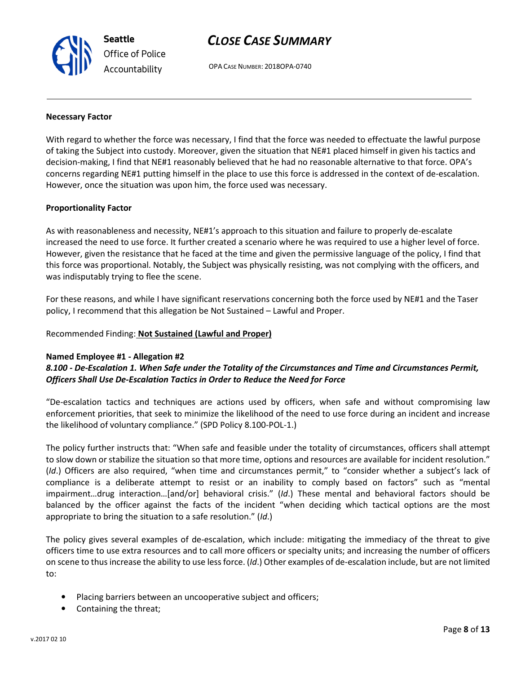# CLOSE CASE SUMMARY

OPA CASE NUMBER: 2018OPA-0740

### Necessary Factor

With regard to whether the force was necessary, I find that the force was needed to effectuate the lawful purpose of taking the Subject into custody. Moreover, given the situation that NE#1 placed himself in given his tactics and decision-making, I find that NE#1 reasonably believed that he had no reasonable alternative to that force. OPA's concerns regarding NE#1 putting himself in the place to use this force is addressed in the context of de-escalation. However, once the situation was upon him, the force used was necessary.

### Proportionality Factor

As with reasonableness and necessity, NE#1's approach to this situation and failure to properly de-escalate increased the need to use force. It further created a scenario where he was required to use a higher level of force. However, given the resistance that he faced at the time and given the permissive language of the policy, I find that this force was proportional. Notably, the Subject was physically resisting, was not complying with the officers, and was indisputably trying to flee the scene.

For these reasons, and while I have significant reservations concerning both the force used by NE#1 and the Taser policy, I recommend that this allegation be Not Sustained – Lawful and Proper.

### Recommended Finding: Not Sustained (Lawful and Proper)

#### Named Employee #1 - Allegation #2

## 8.100 - De-Escalation 1. When Safe under the Totality of the Circumstances and Time and Circumstances Permit, Officers Shall Use De-Escalation Tactics in Order to Reduce the Need for Force

"De-escalation tactics and techniques are actions used by officers, when safe and without compromising law enforcement priorities, that seek to minimize the likelihood of the need to use force during an incident and increase the likelihood of voluntary compliance." (SPD Policy 8.100-POL-1.)

The policy further instructs that: "When safe and feasible under the totality of circumstances, officers shall attempt to slow down or stabilize the situation so that more time, options and resources are available for incident resolution." (Id.) Officers are also required, "when time and circumstances permit," to "consider whether a subject's lack of compliance is a deliberate attempt to resist or an inability to comply based on factors" such as "mental impairment...drug interaction...[and/or] behavioral crisis." (Id.) These mental and behavioral factors should be balanced by the officer against the facts of the incident "when deciding which tactical options are the most appropriate to bring the situation to a safe resolution." (Id.)

The policy gives several examples of de-escalation, which include: mitigating the immediacy of the threat to give officers time to use extra resources and to call more officers or specialty units; and increasing the number of officers on scene to thus increase the ability to use less force. (Id.) Other examples of de-escalation include, but are not limited to:

- Placing barriers between an uncooperative subject and officers;
- Containing the threat;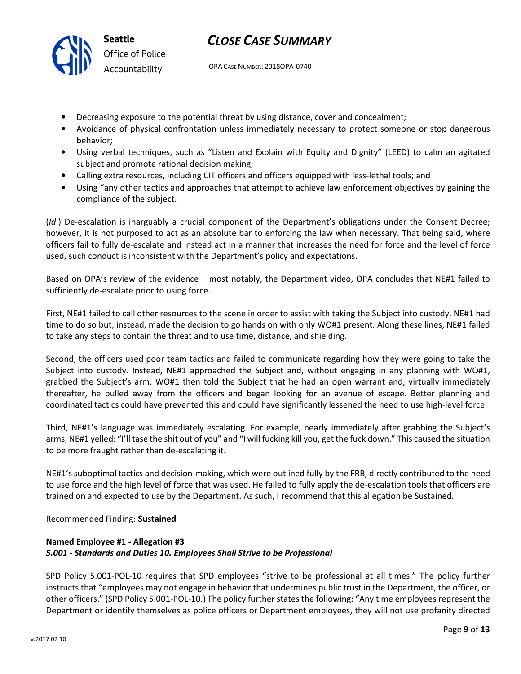

OPA CASE NUMBER: 2018OPA-0740

- Decreasing exposure to the potential threat by using distance, cover and concealment;
- Avoidance of physical confrontation unless immediately necessary to protect someone or stop dangerous behavior;
- Using verbal techniques, such as "Listen and Explain with Equity and Dignity" (LEED) to calm an agitated subject and promote rational decision making;
- Calling extra resources, including CIT officers and officers equipped with less-lethal tools; and
- Using "any other tactics and approaches that attempt to achieve law enforcement objectives by gaining the compliance of the subject.

(Id.) De-escalation is inarguably a crucial component of the Department's obligations under the Consent Decree; however, it is not purposed to act as an absolute bar to enforcing the law when necessary. That being said, where officers fail to fully de-escalate and instead act in a manner that increases the need for force and the level of force used, such conduct is inconsistent with the Department's policy and expectations.

Based on OPA's review of the evidence – most notably, the Department video, OPA concludes that NE#1 failed to sufficiently de-escalate prior to using force.

First, NE#1 failed to call other resources to the scene in order to assist with taking the Subject into custody. NE#1 had time to do so but, instead, made the decision to go hands on with only WO#1 present. Along these lines, NE#1 failed to take any steps to contain the threat and to use time, distance, and shielding.

Second, the officers used poor team tactics and failed to communicate regarding how they were going to take the Subject into custody. Instead, NE#1 approached the Subject and, without engaging in any planning with WO#1, grabbed the Subject's arm. WO#1 then told the Subject that he had an open warrant and, virtually immediately thereafter, he pulled away from the officers and began looking for an avenue of escape. Better planning and coordinated tactics could have prevented this and could have significantly lessened the need to use high-level force.

Third, NE#1's language was immediately escalating. For example, nearly immediately after grabbing the Subject's arms, NE#1 yelled: "I'll tase the shit out of you" and "I will fucking kill you, get the fuck down." This caused the situation to be more fraught rather than de-escalating it.

NE#1's suboptimal tactics and decision-making, which were outlined fully by the FRB, directly contributed to the need to use force and the high level of force that was used. He failed to fully apply the de-escalation tools that officers are trained on and expected to use by the Department. As such, I recommend that this allegation be Sustained.

Recommended Finding: Sustained

## Named Employee #1 - Allegation #3 5.001 - Standards and Duties 10. Employees Shall Strive to be Professional

SPD Policy 5.001-POL-10 requires that SPD employees "strive to be professional at all times." The policy further instructs that "employees may not engage in behavior that undermines public trust in the Department, the officer, or other officers." (SPD Policy 5.001-POL-10.) The policy further states the following: "Any time employees represent the Department or identify themselves as police officers or Department employees, they will not use profanity directed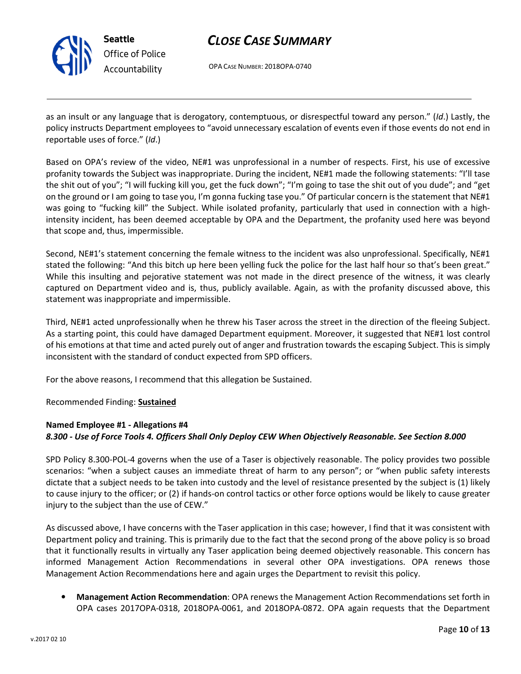

# CLOSE CASE SUMMARY

OPA CASE NUMBER: 2018OPA-0740

as an insult or any language that is derogatory, contemptuous, or disrespectful toward any person." (Id.) Lastly, the policy instructs Department employees to "avoid unnecessary escalation of events even if those events do not end in reportable uses of force." (Id.)

Based on OPA's review of the video, NE#1 was unprofessional in a number of respects. First, his use of excessive profanity towards the Subject was inappropriate. During the incident, NE#1 made the following statements: "I'll tase the shit out of you"; "I will fucking kill you, get the fuck down"; "I'm going to tase the shit out of you dude"; and "get on the ground or I am going to tase you, I'm gonna fucking tase you." Of particular concern is the statement that NE#1 was going to "fucking kill" the Subject. While isolated profanity, particularly that used in connection with a highintensity incident, has been deemed acceptable by OPA and the Department, the profanity used here was beyond that scope and, thus, impermissible.

Second, NE#1's statement concerning the female witness to the incident was also unprofessional. Specifically, NE#1 stated the following: "And this bitch up here been yelling fuck the police for the last half hour so that's been great." While this insulting and pejorative statement was not made in the direct presence of the witness, it was clearly captured on Department video and is, thus, publicly available. Again, as with the profanity discussed above, this statement was inappropriate and impermissible.

Third, NE#1 acted unprofessionally when he threw his Taser across the street in the direction of the fleeing Subject. As a starting point, this could have damaged Department equipment. Moreover, it suggested that NE#1 lost control of his emotions at that time and acted purely out of anger and frustration towards the escaping Subject. This is simply inconsistent with the standard of conduct expected from SPD officers.

For the above reasons, I recommend that this allegation be Sustained.

Recommended Finding: Sustained

## Named Employee #1 - Allegations #4

## 8.300 - Use of Force Tools 4. Officers Shall Only Deploy CEW When Objectively Reasonable. See Section 8.000

SPD Policy 8.300-POL-4 governs when the use of a Taser is objectively reasonable. The policy provides two possible scenarios: "when a subject causes an immediate threat of harm to any person"; or "when public safety interests dictate that a subject needs to be taken into custody and the level of resistance presented by the subject is (1) likely to cause injury to the officer; or (2) if hands-on control tactics or other force options would be likely to cause greater injury to the subject than the use of CEW."

As discussed above, I have concerns with the Taser application in this case; however, I find that it was consistent with Department policy and training. This is primarily due to the fact that the second prong of the above policy is so broad that it functionally results in virtually any Taser application being deemed objectively reasonable. This concern has informed Management Action Recommendations in several other OPA investigations. OPA renews those Management Action Recommendations here and again urges the Department to revisit this policy.

• Management Action Recommendation: OPA renews the Management Action Recommendations set forth in OPA cases 2017OPA-0318, 2018OPA-0061, and 2018OPA-0872. OPA again requests that the Department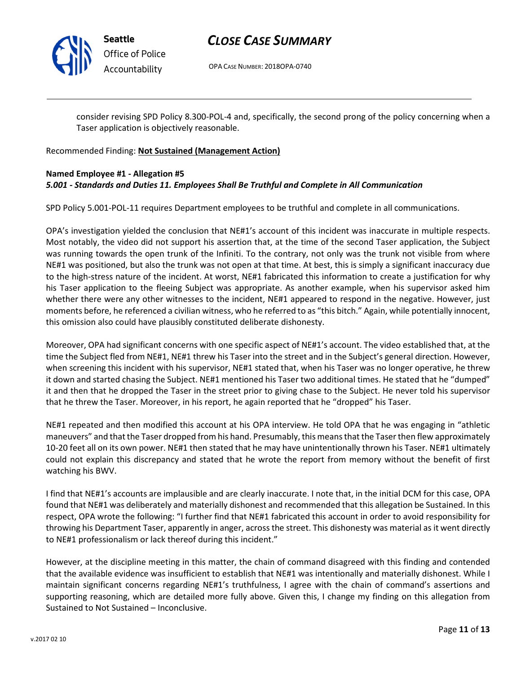

## CLOSE CASE SUMMARY

OPA CASE NUMBER: 2018OPA-0740

consider revising SPD Policy 8.300-POL-4 and, specifically, the second prong of the policy concerning when a Taser application is objectively reasonable.

Recommended Finding: Not Sustained (Management Action)

## Named Employee #1 - Allegation #5 5.001 - Standards and Duties 11. Employees Shall Be Truthful and Complete in All Communication

SPD Policy 5.001-POL-11 requires Department employees to be truthful and complete in all communications.

OPA's investigation yielded the conclusion that NE#1's account of this incident was inaccurate in multiple respects. Most notably, the video did not support his assertion that, at the time of the second Taser application, the Subject was running towards the open trunk of the Infiniti. To the contrary, not only was the trunk not visible from where NE#1 was positioned, but also the trunk was not open at that time. At best, this is simply a significant inaccuracy due to the high-stress nature of the incident. At worst, NE#1 fabricated this information to create a justification for why his Taser application to the fleeing Subject was appropriate. As another example, when his supervisor asked him whether there were any other witnesses to the incident, NE#1 appeared to respond in the negative. However, just moments before, he referenced a civilian witness, who he referred to as "this bitch." Again, while potentially innocent, this omission also could have plausibly constituted deliberate dishonesty.

Moreover, OPA had significant concerns with one specific aspect of NE#1's account. The video established that, at the time the Subject fled from NE#1, NE#1 threw his Taser into the street and in the Subject's general direction. However, when screening this incident with his supervisor, NE#1 stated that, when his Taser was no longer operative, he threw it down and started chasing the Subject. NE#1 mentioned his Taser two additional times. He stated that he "dumped" it and then that he dropped the Taser in the street prior to giving chase to the Subject. He never told his supervisor that he threw the Taser. Moreover, in his report, he again reported that he "dropped" his Taser.

NE#1 repeated and then modified this account at his OPA interview. He told OPA that he was engaging in "athletic maneuvers" and that the Taser dropped from his hand. Presumably, this means that the Taser then flew approximately 10-20 feet all on its own power. NE#1 then stated that he may have unintentionally thrown his Taser. NE#1 ultimately could not explain this discrepancy and stated that he wrote the report from memory without the benefit of first watching his BWV.

I find that NE#1's accounts are implausible and are clearly inaccurate. I note that, in the initial DCM for this case, OPA found that NE#1 was deliberately and materially dishonest and recommended that this allegation be Sustained. In this respect, OPA wrote the following: "I further find that NE#1 fabricated this account in order to avoid responsibility for throwing his Department Taser, apparently in anger, across the street. This dishonesty was material as it went directly to NE#1 professionalism or lack thereof during this incident."

However, at the discipline meeting in this matter, the chain of command disagreed with this finding and contended that the available evidence was insufficient to establish that NE#1 was intentionally and materially dishonest. While I maintain significant concerns regarding NE#1's truthfulness, I agree with the chain of command's assertions and supporting reasoning, which are detailed more fully above. Given this, I change my finding on this allegation from Sustained to Not Sustained – Inconclusive.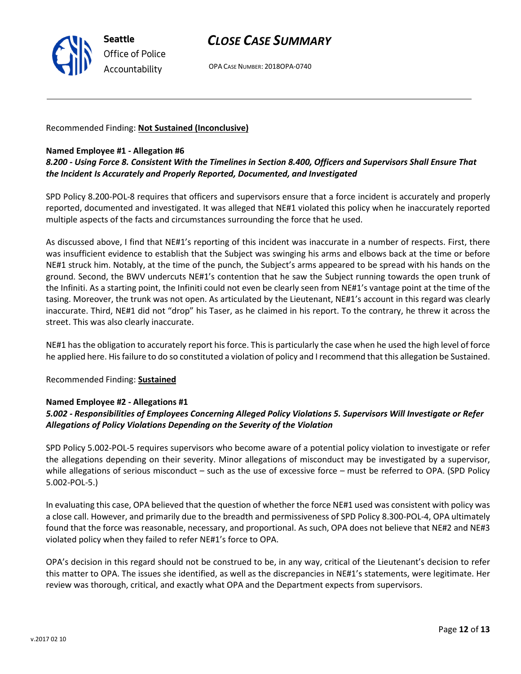

OPA CASE NUMBER: 2018OPA-0740

Recommended Finding: Not Sustained (Inconclusive)

### Named Employee #1 - Allegation #6

8.200 - Using Force 8. Consistent With the Timelines in Section 8.400, Officers and Supervisors Shall Ensure That the Incident Is Accurately and Properly Reported, Documented, and Investigated

SPD Policy 8.200-POL-8 requires that officers and supervisors ensure that a force incident is accurately and properly reported, documented and investigated. It was alleged that NE#1 violated this policy when he inaccurately reported multiple aspects of the facts and circumstances surrounding the force that he used.

As discussed above, I find that NE#1's reporting of this incident was inaccurate in a number of respects. First, there was insufficient evidence to establish that the Subject was swinging his arms and elbows back at the time or before NE#1 struck him. Notably, at the time of the punch, the Subject's arms appeared to be spread with his hands on the ground. Second, the BWV undercuts NE#1's contention that he saw the Subject running towards the open trunk of the Infiniti. As a starting point, the Infiniti could not even be clearly seen from NE#1's vantage point at the time of the tasing. Moreover, the trunk was not open. As articulated by the Lieutenant, NE#1's account in this regard was clearly inaccurate. Third, NE#1 did not "drop" his Taser, as he claimed in his report. To the contrary, he threw it across the street. This was also clearly inaccurate.

NE#1 has the obligation to accurately report his force. This is particularly the case when he used the high level of force he applied here. His failure to do so constituted a violation of policy and I recommend that this allegation be Sustained.

### Recommended Finding: Sustained

#### Named Employee #2 - Allegations #1

### 5.002 - Responsibilities of Employees Concerning Alleged Policy Violations 5. Supervisors Will Investigate or Refer Allegations of Policy Violations Depending on the Severity of the Violation

SPD Policy 5.002-POL-5 requires supervisors who become aware of a potential policy violation to investigate or refer the allegations depending on their severity. Minor allegations of misconduct may be investigated by a supervisor, while allegations of serious misconduct – such as the use of excessive force – must be referred to OPA. (SPD Policy 5.002-POL-5.)

In evaluating this case, OPA believed that the question of whether the force NE#1 used was consistent with policy was a close call. However, and primarily due to the breadth and permissiveness of SPD Policy 8.300-POL-4, OPA ultimately found that the force was reasonable, necessary, and proportional. As such, OPA does not believe that NE#2 and NE#3 violated policy when they failed to refer NE#1's force to OPA.

OPA's decision in this regard should not be construed to be, in any way, critical of the Lieutenant's decision to refer this matter to OPA. The issues she identified, as well as the discrepancies in NE#1's statements, were legitimate. Her review was thorough, critical, and exactly what OPA and the Department expects from supervisors.